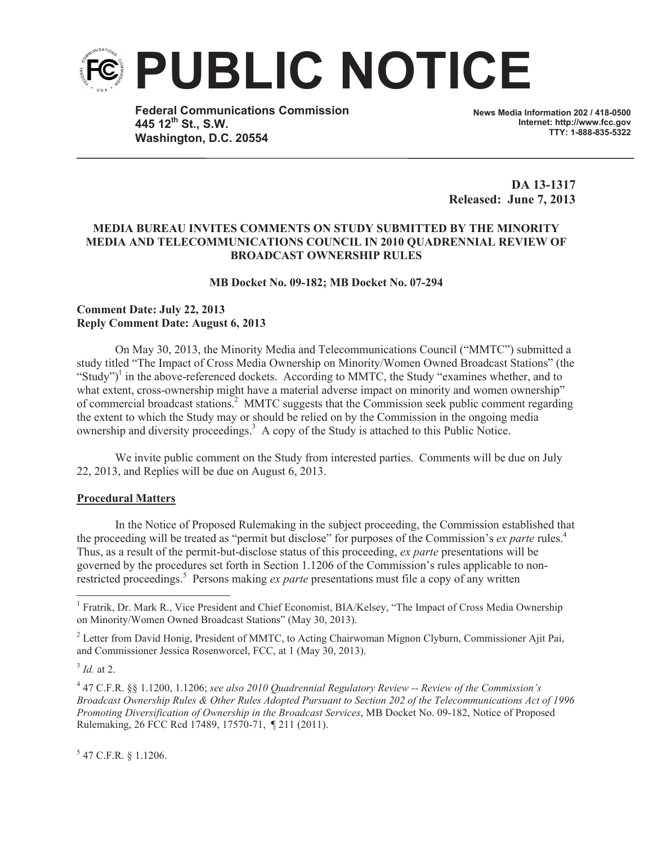

**Federal Communications Commission 445 12th St., S.W. Washington, D.C. 20554**

**News Media Information 202 / 418-0500 Internet: http://www.fcc.gov TTY: 1-888-835-5322**

**DA 13-1317 Released: June 7, 2013**

## **MEDIA BUREAU INVITES COMMENTS ON STUDY SUBMITTED BY THE MINORITY MEDIA AND TELECOMMUNICATIONS COUNCIL IN 2010 QUADRENNIAL REVIEW OF BROADCAST OWNERSHIP RULES**

**MB Docket No. 09-182; MB Docket No. 07-294**

## **Comment Date: July 22, 2013 Reply Comment Date: August 6, 2013**

On May 30, 2013, the Minority Media and Telecommunications Council ("MMTC") submitted a study titled "The Impact of Cross Media Ownership on Minority/Women Owned Broadcast Stations" (the "Study")<sup>1</sup> in the above-referenced dockets. According to MMTC, the Study "examines whether, and to what extent, cross-ownership might have a material adverse impact on minority and women ownership" of commercial broadcast stations.<sup>2</sup> MMTC suggests that the Commission seek public comment regarding the extent to which the Study may or should be relied on by the Commission in the ongoing media ownership and diversity proceedings.<sup>3</sup> A copy of the Study is attached to this Public Notice.

We invite public comment on the Study from interested parties. Comments will be due on July 22, 2013, and Replies will be due on August 6, 2013.

## **Procedural Matters**

In the Notice of Proposed Rulemaking in the subject proceeding, the Commission established that the proceeding will be treated as "permit but disclose" for purposes of the Commission's *ex parte* rules.<sup>4</sup> Thus, as a result of the permit-but-disclose status of this proceeding, *ex parte* presentations will be governed by the procedures set forth in Section 1.1206 of the Commission's rules applicable to nonrestricted proceedings.<sup>5</sup> Persons making *ex parte* presentations must file a copy of any written

3 *Id.* at 2.

 $5$  47 C.F.R. § 1.1206.

<sup>&</sup>lt;sup>1</sup> Fratrik, Dr. Mark R., Vice President and Chief Economist, BIA/Kelsey, "The Impact of Cross Media Ownership on Minority/Women Owned Broadcast Stations" (May 30, 2013).

<sup>&</sup>lt;sup>2</sup> Letter from David Honig, President of MMTC, to Acting Chairwoman Mignon Clyburn, Commissioner Ajit Pai, and Commissioner Jessica Rosenworcel, FCC, at 1 (May 30, 2013).

<sup>4</sup> 47 C.F.R. §§ 1.1200, 1.1206; *see also 2010 Quadrennial Regulatory Review -- Review of the Commission's Broadcast Ownership Rules & Other Rules Adopted Pursuant to Section 202 of the Telecommunications Act of 1996 Promoting Diversification of Ownership in the Broadcast Services*, MB Docket No. 09-182, Notice of Proposed Rulemaking, 26 FCC Rcd 17489, 17570-71, ¶ 211 (2011).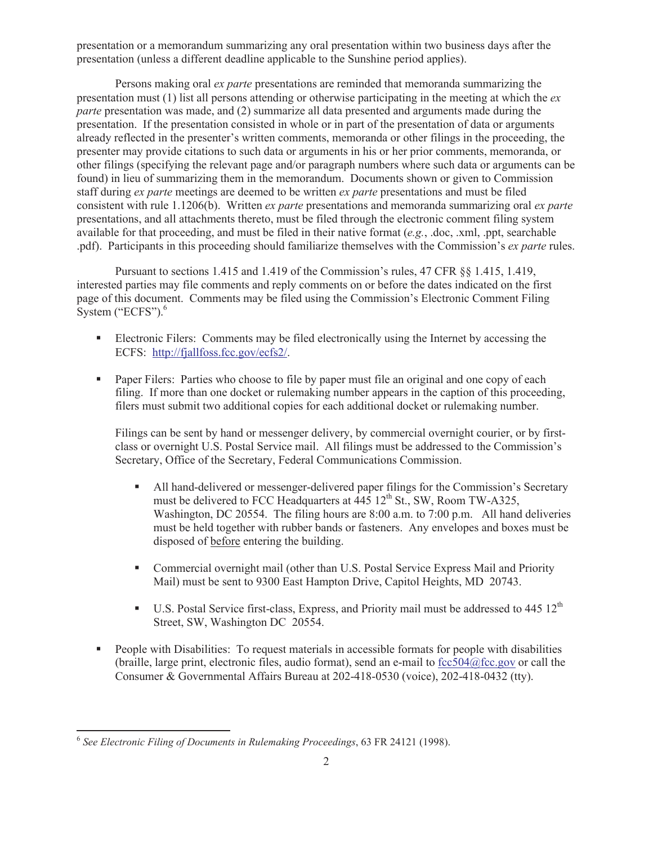presentation or a memorandum summarizing any oral presentation within two business days after the presentation (unless a different deadline applicable to the Sunshine period applies).

Persons making oral *ex parte* presentations are reminded that memoranda summarizing the presentation must (1) list all persons attending or otherwise participating in the meeting at which the *ex parte* presentation was made, and (2) summarize all data presented and arguments made during the presentation. If the presentation consisted in whole or in part of the presentation of data or arguments already reflected in the presenter's written comments, memoranda or other filings in the proceeding, the presenter may provide citations to such data or arguments in his or her prior comments, memoranda, or other filings (specifying the relevant page and/or paragraph numbers where such data or arguments can be found) in lieu of summarizing them in the memorandum. Documents shown or given to Commission staff during *ex parte* meetings are deemed to be written *ex parte* presentations and must be filed consistent with rule 1.1206(b). Written *ex parte* presentations and memoranda summarizing oral *ex parte*  presentations, and all attachments thereto, must be filed through the electronic comment filing system available for that proceeding, and must be filed in their native format (*e.g.*, .doc, .xml, .ppt, searchable .pdf). Participants in this proceeding should familiarize themselves with the Commission's *ex parte* rules.

Pursuant to sections 1.415 and 1.419 of the Commission's rules, 47 CFR §§ 1.415, 1.419, interested parties may file comments and reply comments on or before the dates indicated on the first page of this document. Comments may be filed using the Commission's Electronic Comment Filing System ("ECFS").<sup>6</sup>

- Electronic Filers: Comments may be filed electronically using the Internet by accessing the ECFS: http://fjallfoss.fcc.gov/ecfs2/.
- Paper Filers: Parties who choose to file by paper must file an original and one copy of each filing. If more than one docket or rulemaking number appears in the caption of this proceeding, filers must submit two additional copies for each additional docket or rulemaking number.

Filings can be sent by hand or messenger delivery, by commercial overnight courier, or by firstclass or overnight U.S. Postal Service mail. All filings must be addressed to the Commission's Secretary, Office of the Secretary, Federal Communications Commission.

- All hand-delivered or messenger-delivered paper filings for the Commission's Secretary must be delivered to FCC Headquarters at  $\overline{445}$  12<sup>th</sup> St., SW, Room TW-A325, Washington, DC 20554. The filing hours are 8:00 a.m. to 7:00 p.m. All hand deliveries must be held together with rubber bands or fasteners. Any envelopes and boxes must be disposed of before entering the building.
- Commercial overnight mail (other than U.S. Postal Service Express Mail and Priority Mail) must be sent to 9300 East Hampton Drive, Capitol Heights, MD 20743.
- **•** U.S. Postal Service first-class, Express, and Priority mail must be addressed to  $445 \times 12^{th}$ Street, SW, Washington DC 20554.
- People with Disabilities: To request materials in accessible formats for people with disabilities (braille, large print, electronic files, audio format), send an e-mail to fcc504@fcc.gov or call the Consumer & Governmental Affairs Bureau at 202-418-0530 (voice), 202-418-0432 (tty).

<sup>6</sup> *See Electronic Filing of Documents in Rulemaking Proceedings*, 63 FR 24121 (1998).